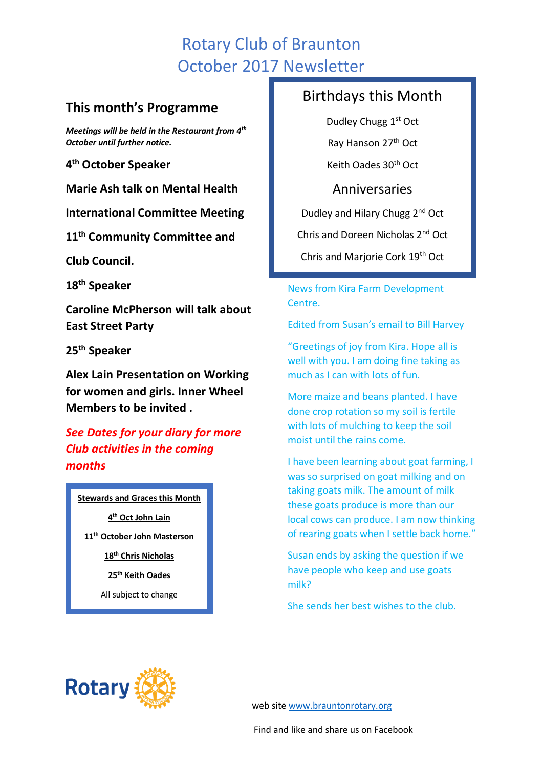# Rotary Club of Braunton October 2017 Newsletter

## **This month's Programme**

*Meetings will be held in the Restaurant from 4th October until further notice.* 

**4 th October Speaker**

**Marie Ash talk on Mental Health**

**International Committee Meeting**

**11th Community Committee and**

**Club Council.**

**18th Speaker** 

**Caroline McPherson will talk about East Street Party**

**25th Speaker**

**Alex Lain Presentation on Working for women and girls. Inner Wheel Members to be invited .**

*See Dates for your diary for more Club activities in the coming months*

**Stewards and Graces this Month**

**4 th Oct John Lain**

**11th October John Masterson**

**18th Chris Nicholas**

**25th Keith Oades**

All subject to change

## Birthdays this Month

Dudley Chugg 1<sup>st</sup> Oct Ray Hanson 27th Oct Keith Oades 30th Oct

Anniversaries Dudley and Hilary Chugg 2nd Oct Chris and Doreen Nicholas 2nd Oct Chris and Marjorie Cork 19th Oct

News from Kira Farm Development Centre.

Edited from Susan's email to Bill Harvey

"Greetings of joy from Kira. Hope all is well with you. I am doing fine taking as much as I can with lots of fun.

More maize and beans planted. I have done crop rotation so my soil is fertile with lots of mulching to keep the soil moist until the rains come.

I have been learning about goat farming, I was so surprised on goat milking and on taking goats milk. The amount of milk these goats produce is more than our local cows can produce. I am now thinking of rearing goats when I settle back home."

Susan ends by asking the question if we have people who keep and use goats milk?

She sends her best wishes to the club.



web site [www.brauntonrotary.org](http://www.brauntonrotary.org/)